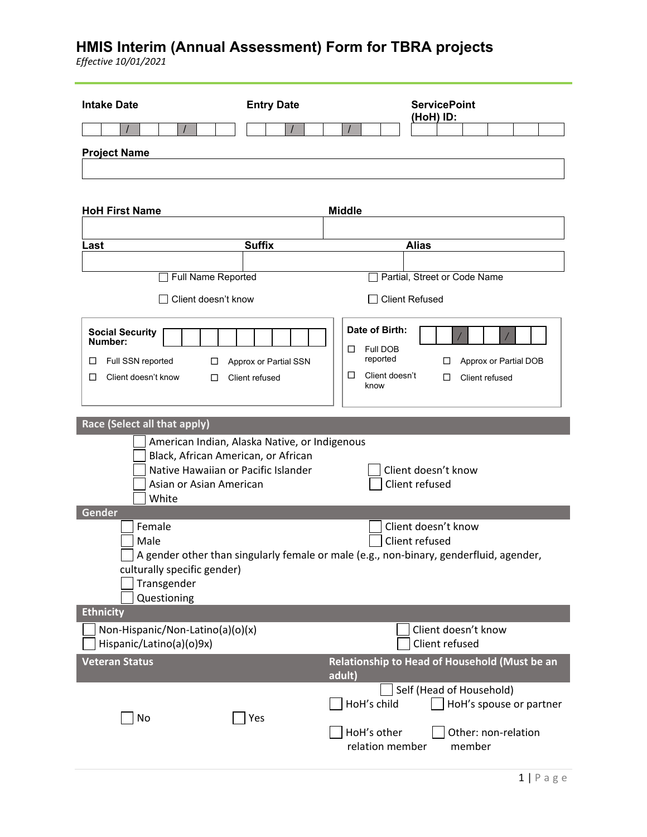| <b>Intake Date</b>                                                                                             | <b>Entry Date</b>                             | <b>ServicePoint</b><br>(HoH) ID:                                                                                                      |
|----------------------------------------------------------------------------------------------------------------|-----------------------------------------------|---------------------------------------------------------------------------------------------------------------------------------------|
|                                                                                                                |                                               |                                                                                                                                       |
| <b>Project Name</b>                                                                                            |                                               |                                                                                                                                       |
| <b>HoH First Name</b>                                                                                          |                                               | <b>Middle</b>                                                                                                                         |
| Last                                                                                                           | <b>Suffix</b>                                 | <b>Alias</b>                                                                                                                          |
|                                                                                                                |                                               |                                                                                                                                       |
| Full Name Reported                                                                                             |                                               | Partial, Street or Code Name                                                                                                          |
| Client doesn't know                                                                                            |                                               | <b>Client Refused</b>                                                                                                                 |
| <b>Social Security</b><br>Number:<br>Full SSN reported<br>□<br>□<br>Client doesn't know<br>□<br>ப              | Approx or Partial SSN<br>Client refused       | Date of Birth:<br>Full DOB<br>□<br>reported<br>Approx or Partial DOB<br>□<br>Client doesn't<br>$\Box$<br>□<br>Client refused<br>know  |
| Race (Select all that apply)                                                                                   |                                               |                                                                                                                                       |
| Black, African American, or African<br>Native Hawaiian or Pacific Islander<br>Asian or Asian American<br>White | American Indian, Alaska Native, or Indigenous | Client doesn't know<br>Client refused                                                                                                 |
| Gender<br>Female<br>Male<br>culturally specific gender)<br>Transgender<br>Questioning                          |                                               | Client doesn't know<br>Client refused<br>A gender other than singularly female or male (e.g., non-binary, genderfluid, agender,       |
| <b>Ethnicity</b>                                                                                               |                                               |                                                                                                                                       |
| Non-Hispanic/Non-Latino(a)(o)(x)<br>Hispanic/Latino(a)(o)9x)                                                   |                                               | Client doesn't know<br>Client refused                                                                                                 |
| <b>Veteran Status</b>                                                                                          |                                               | Relationship to Head of Household (Must be an<br>adult)                                                                               |
| No                                                                                                             | Yes                                           | Self (Head of Household)<br>HoH's child<br>HoH's spouse or partner<br>HoH's other<br>Other: non-relation<br>relation member<br>member |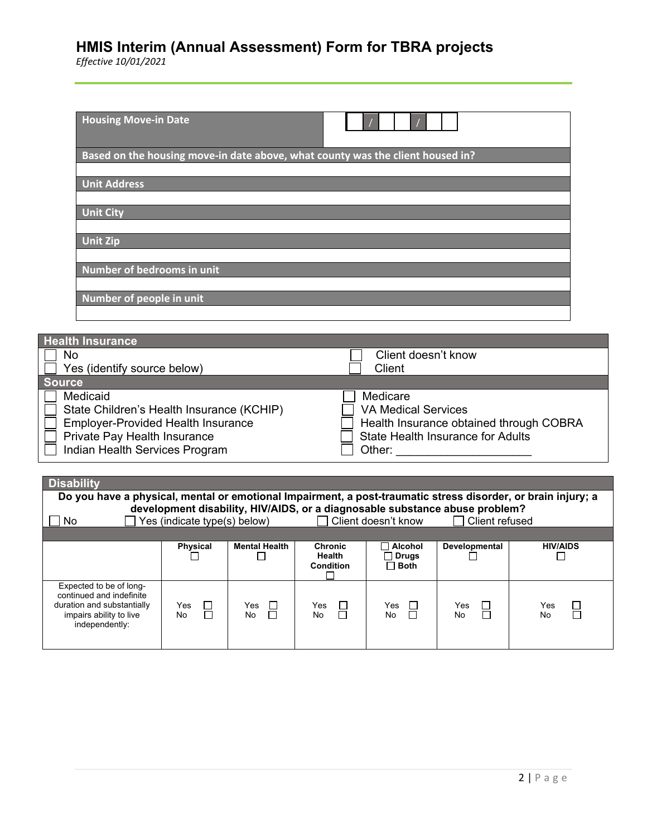| <b>Housing Move-in Date</b>                                                    |                               |
|--------------------------------------------------------------------------------|-------------------------------|
| Based on the housing move-in date above, what county was the client housed in? |                               |
| <b>Unit Address</b>                                                            |                               |
| <b>Unit City</b>                                                               |                               |
| <b>Unit Zip</b>                                                                |                               |
| Number of bedrooms in unit                                                     |                               |
| Number of people in unit                                                       |                               |
|                                                                                |                               |
| <b>Health Insurance</b><br><b>No</b><br>Ves (identify source helow)            | Client doesn't know<br>Client |

| Yes (identify source below)               | Client                                   |
|-------------------------------------------|------------------------------------------|
| <b>Source</b>                             |                                          |
| Medicaid                                  | Medicare                                 |
| State Children's Health Insurance (KCHIP) | <b>VA Medical Services</b>               |
| <b>Employer-Provided Health Insurance</b> | Health Insurance obtained through COBRA  |
| Private Pay Health Insurance              | <b>State Health Insurance for Adults</b> |
| Indian Health Services Program            | Other:                                   |

| <b>Disability</b><br>Do you have a physical, mental or emotional Impairment, a post-traumatic stress disorder, or brain injury; a<br>development disability, HIV/AIDS, or a diagnosable substance abuse problem? |                              |                                 |                                                     |                                          |                       |                               |
|------------------------------------------------------------------------------------------------------------------------------------------------------------------------------------------------------------------|------------------------------|---------------------------------|-----------------------------------------------------|------------------------------------------|-----------------------|-------------------------------|
| No.                                                                                                                                                                                                              | Yes (indicate type(s) below) |                                 |                                                     | $\Box$ Client doesn't know               | $\Box$ Client refused |                               |
|                                                                                                                                                                                                                  | <b>Physical</b>              | <b>Mental Health</b>            | <b>Chronic</b><br><b>Health</b><br><b>Condition</b> | Alcohol<br><b>コ Drugs</b><br>$\Box$ Both | <b>Developmental</b>  | <b>HIV/AIDS</b>               |
| Expected to be of long-<br>continued and indefinite<br>duration and substantially<br>impairs ability to live<br>independently:                                                                                   | Yes<br>No                    | Yes<br>$\Box$<br>П<br><b>No</b> | Yes<br>$\Box$<br>No                                 | Yes<br>$\Box$<br>$\Box$<br>No            | Yes<br>$\Box$<br>No   | $\Box$<br>Yes<br>$\Box$<br>No |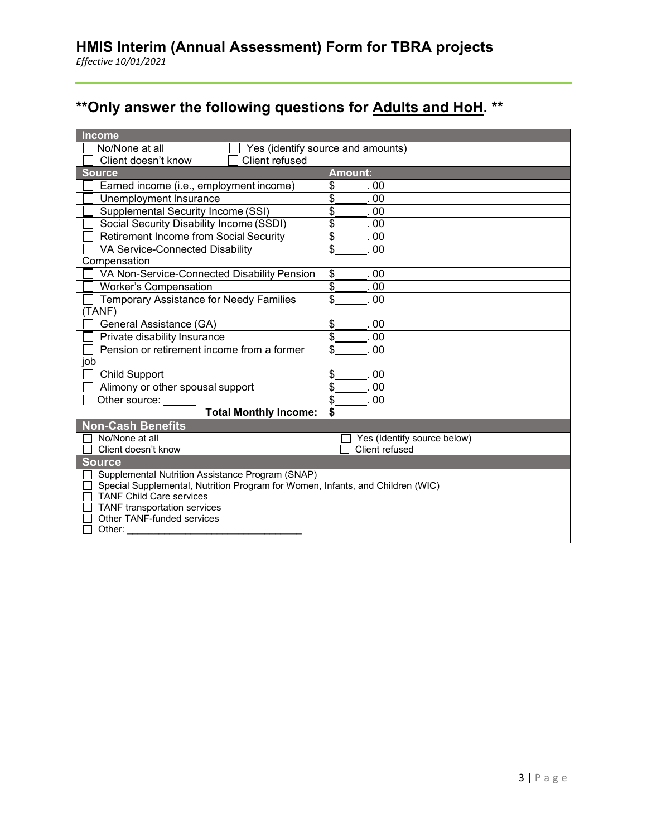# **\*\*Only answer the following questions for Adults and HoH. \*\***

| Income                                                                                                            |                             |  |  |
|-------------------------------------------------------------------------------------------------------------------|-----------------------------|--|--|
| No/None at all<br>Yes (identify source and amounts)                                                               |                             |  |  |
| Client refused<br>Client doesn't know                                                                             |                             |  |  |
| <b>Source</b>                                                                                                     | <b>Amount:</b>              |  |  |
| Earned income (i.e., employment income)                                                                           | \$<br>-00                   |  |  |
| Unemployment Insurance                                                                                            | \$<br>00                    |  |  |
| Supplemental Security Income (SSI)                                                                                | \$<br>. 00                  |  |  |
| Social Security Disability Income (SSDI)                                                                          | \$<br>00                    |  |  |
| <b>Retirement Income from Social Security</b>                                                                     | \$<br>00                    |  |  |
| VA Service-Connected Disability                                                                                   | \$<br>. 00                  |  |  |
| Compensation                                                                                                      |                             |  |  |
| VA Non-Service-Connected Disability Pension                                                                       | \$<br>. 00                  |  |  |
| <b>Worker's Compensation</b>                                                                                      | \$<br>.00                   |  |  |
| Temporary Assistance for Needy Families                                                                           | \$<br>00                    |  |  |
| (TANF)                                                                                                            |                             |  |  |
| General Assistance (GA)                                                                                           | \$<br>00                    |  |  |
| Private disability Insurance                                                                                      | \$<br>00                    |  |  |
| Pension or retirement income from a former                                                                        | \$<br>00                    |  |  |
| job                                                                                                               |                             |  |  |
| <b>Child Support</b>                                                                                              | \$<br>00                    |  |  |
| Alimony or other spousal support                                                                                  | \$<br>.00                   |  |  |
| Other source:                                                                                                     | \$<br>.00                   |  |  |
| <b>Total Monthly Income:</b>                                                                                      | \$                          |  |  |
| <b>Non-Cash Benefits</b>                                                                                          |                             |  |  |
| No/None at all                                                                                                    | Yes (Identify source below) |  |  |
| Client doesn't know                                                                                               | Client refused              |  |  |
| Source                                                                                                            |                             |  |  |
| Supplemental Nutrition Assistance Program (SNAP)                                                                  |                             |  |  |
| Special Supplemental, Nutrition Program for Women, Infants, and Children (WIC)<br><b>TANF Child Care services</b> |                             |  |  |
| <b>TANF</b> transportation services                                                                               |                             |  |  |
| <b>Other TANF-funded services</b>                                                                                 |                             |  |  |
| Other:                                                                                                            |                             |  |  |
|                                                                                                                   |                             |  |  |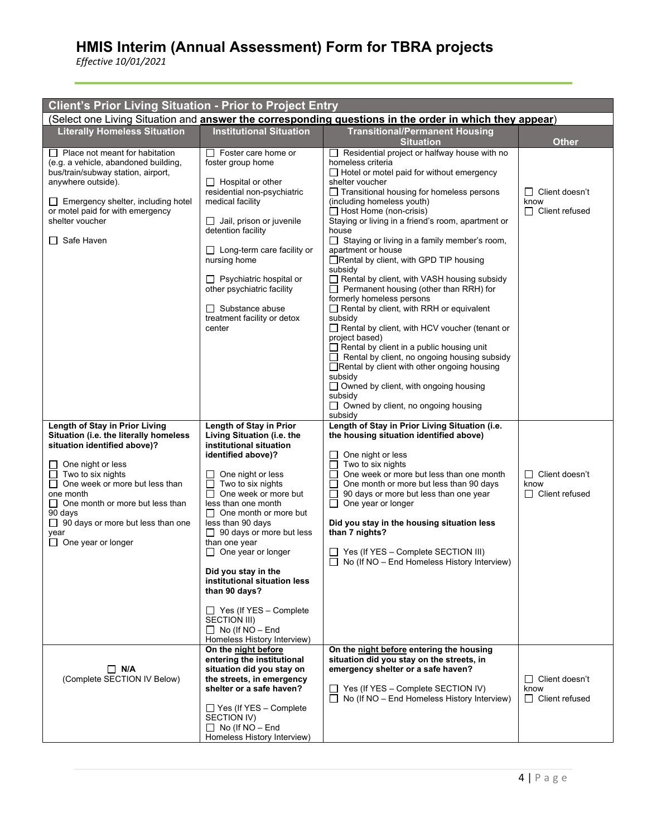| <b>Client's Prior Living Situation - Prior to Project Entry</b>                                                                                                                                                                                                                                                                                       |                                                                                                                                                                                                                                                                                                                                                                                                                                                                                                                                             |                                                                                                                                                                                                                                                                                                                                                                                                                                                                                                                                                                                                                                                                                                                                                                                                                                                                                                                                                                                                                            |                                                        |  |  |
|-------------------------------------------------------------------------------------------------------------------------------------------------------------------------------------------------------------------------------------------------------------------------------------------------------------------------------------------------------|---------------------------------------------------------------------------------------------------------------------------------------------------------------------------------------------------------------------------------------------------------------------------------------------------------------------------------------------------------------------------------------------------------------------------------------------------------------------------------------------------------------------------------------------|----------------------------------------------------------------------------------------------------------------------------------------------------------------------------------------------------------------------------------------------------------------------------------------------------------------------------------------------------------------------------------------------------------------------------------------------------------------------------------------------------------------------------------------------------------------------------------------------------------------------------------------------------------------------------------------------------------------------------------------------------------------------------------------------------------------------------------------------------------------------------------------------------------------------------------------------------------------------------------------------------------------------------|--------------------------------------------------------|--|--|
| (Select one Living Situation and answer the corresponding questions in the order in which they appear)                                                                                                                                                                                                                                                |                                                                                                                                                                                                                                                                                                                                                                                                                                                                                                                                             |                                                                                                                                                                                                                                                                                                                                                                                                                                                                                                                                                                                                                                                                                                                                                                                                                                                                                                                                                                                                                            |                                                        |  |  |
| <b>Literally Homeless Situation</b>                                                                                                                                                                                                                                                                                                                   | <b>Institutional Situation</b>                                                                                                                                                                                                                                                                                                                                                                                                                                                                                                              | <b>Transitional/Permanent Housing</b><br><b>Situation</b>                                                                                                                                                                                                                                                                                                                                                                                                                                                                                                                                                                                                                                                                                                                                                                                                                                                                                                                                                                  | <b>Other</b>                                           |  |  |
| $\Box$ Place not meant for habitation<br>(e.g. a vehicle, abandoned building,<br>bus/train/subway station, airport,<br>anywhere outside).<br>Emergency shelter, including hotel<br>LI<br>or motel paid for with emergency<br>shelter voucher<br>$\Box$ Safe Haven                                                                                     | $\Box$ Foster care home or<br>foster group home<br>$\Box$ Hospital or other<br>residential non-psychiatric<br>medical facility<br>$\Box$ Jail, prison or juvenile<br>detention facility<br>$\Box$ Long-term care facility or<br>nursing home<br>$\Box$ Psychiatric hospital or<br>other psychiatric facility<br>$\Box$ Substance abuse<br>treatment facility or detox<br>center                                                                                                                                                             | $\Box$ Residential project or halfway house with no<br>homeless criteria<br>$\Box$ Hotel or motel paid for without emergency<br>shelter voucher<br>$\Box$ Transitional housing for homeless persons<br>(including homeless youth)<br>$\Box$ Host Home (non-crisis)<br>Staying or living in a friend's room, apartment or<br>house<br>$\Box$ Staying or living in a family member's room,<br>apartment or house<br>Rental by client, with GPD TIP housing<br>subsidy<br>Rental by client, with VASH housing subsidy<br>$\Box$ Permanent housing (other than RRH) for<br>formerly homeless persons<br>$\Box$ Rental by client, with RRH or equivalent<br>subsidy<br>Rental by client, with HCV voucher (tenant or<br>project based)<br>$\Box$ Rental by client in a public housing unit<br>$\Box$ Rental by client, no ongoing housing subsidy<br>Rental by client with other ongoing housing<br>subsidy<br>$\Box$ Owned by client, with ongoing housing<br>subsidy<br>$\Box$ Owned by client, no ongoing housing<br>subsidy | $\Box$ Client doesn't<br>know<br>$\Box$ Client refused |  |  |
| Length of Stay in Prior Living<br>Situation (i.e. the literally homeless<br>situation identified above)?<br>One night or less<br>ΙI<br>Two to six nights<br>One week or more but less than<br>Ш<br>one month<br>$\Box$<br>One month or more but less than<br>90 days<br>$\Box$ 90 days or more but less than one<br>year<br>$\Box$ One year or longer | Length of Stay in Prior<br>Living Situation (i.e. the<br>institutional situation<br>identified above)?<br>One night or less<br>Two to six nights<br>$\Box$<br>One week or more but<br>$\Box$<br>less than one month<br>$\Box$ One month or more but<br>less than 90 days<br>$\Box$ 90 days or more but less<br>than one year<br>$\Box$ One year or longer<br>Did you stay in the<br>institutional situation less<br>than 90 days?<br>$\Box$ Yes (If YES - Complete<br>SECTION III)<br>$\Box$ No (If NO - End<br>Homeless History Interview) | Length of Stay in Prior Living Situation (i.e.<br>the housing situation identified above)<br>$\Box$ One night or less<br>$\Box$ Two to six nights<br>$\Box$ One week or more but less than one month<br>One month or more but less than 90 days<br>$\Box$<br>$\Box$<br>90 days or more but less than one year<br>$\Box$ One year or longer<br>Did you stay in the housing situation less<br>than 7 nights?<br>$\Box$ Yes (If YES – Complete SECTION III)<br>$\Box$ No (If NO – End Homeless History Interview)                                                                                                                                                                                                                                                                                                                                                                                                                                                                                                             | □ Client doesn't<br>know<br>$\Box$ Client refused      |  |  |
| $\Box$ N/A<br>(Complete SECTION IV Below)                                                                                                                                                                                                                                                                                                             | On the night before<br>entering the institutional<br>situation did you stay on<br>the streets, in emergency<br>shelter or a safe haven?<br>$\Box$ Yes (If YES – Complete<br>SECTION IV)<br>$\Box$ No (If NO – End<br>Homeless History Interview)                                                                                                                                                                                                                                                                                            | On the night before entering the housing<br>situation did you stay on the streets, in<br>emergency shelter or a safe haven?<br>$\Box$ Yes (If YES – Complete SECTION IV)<br>$\Box$ No (If NO – End Homeless History Interview)                                                                                                                                                                                                                                                                                                                                                                                                                                                                                                                                                                                                                                                                                                                                                                                             | $\Box$ Client doesn't<br>know<br>$\Box$ Client refused |  |  |